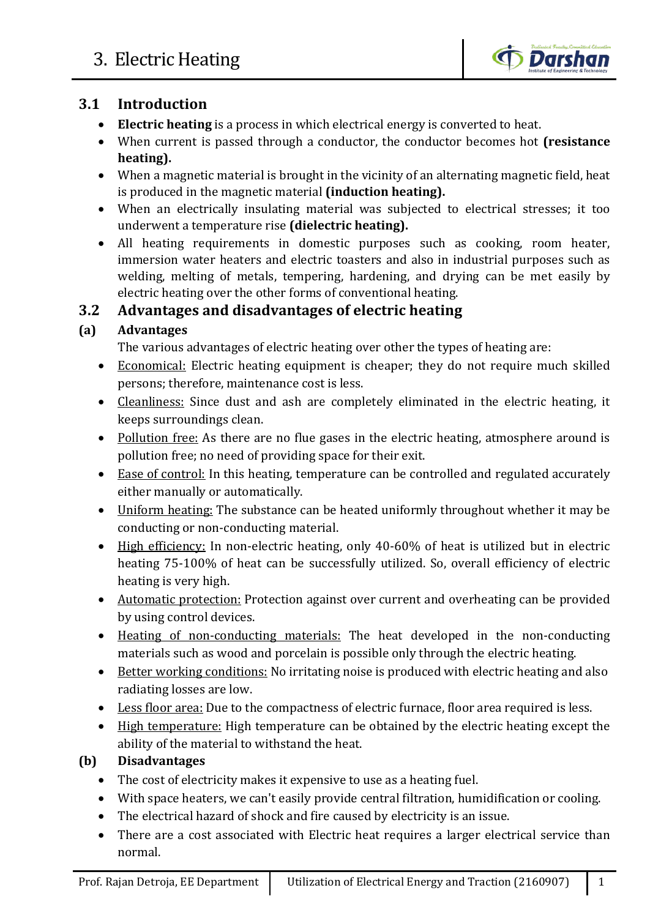

## **3.1 Introduction**

- **Electric heating** is a process in which electrical energy is converted to heat.
- When current is passed through a conductor, the conductor becomes hot **(resistance heating).**
- When a magnetic material is brought in the vicinity of an alternating magnetic field, heat is produced in the magnetic material **(induction heating).**
- When an electrically insulating material was subjected to electrical stresses; it too underwent a temperature rise **(dielectric heating).**
- All heating requirements in domestic purposes such as cooking, room heater, immersion water heaters and electric toasters and also in industrial purposes such as welding, melting of metals, tempering, hardening, and drying can be met easily by electric heating over the other forms of conventional heating.

## **3.2 Advantages and disadvantages of electric heating**

## **(a) Advantages**

The various advantages of electric heating over other the types of heating are:

- Economical: Electric heating equipment is cheaper; they do not require much skilled persons; therefore, maintenance cost is less.
- Cleanliness: Since dust and ash are completely eliminated in the electric heating, it keeps surroundings clean.
- Pollution free: As there are no flue gases in the electric heating, atmosphere around is pollution free; no need of providing space for their exit.
- Ease of control: In this heating, temperature can be controlled and regulated accurately either manually or automatically.
- Uniform heating: The substance can be heated uniformly throughout whether it may be conducting or non-conducting material.
- High efficiency: In non-electric heating, only 40-60% of heat is utilized but in electric heating 75-100% of heat can be successfully utilized. So, overall efficiency of electric heating is very high.
- Automatic protection: Protection against over current and overheating can be provided by using control devices.
- Heating of non-conducting materials: The heat developed in the non-conducting materials such as wood and porcelain is possible only through the electric heating.
- Better working conditions: No irritating noise is produced with electric heating and also radiating losses are low.
- Less floor area: Due to the compactness of electric furnace, floor area required is less.
- High temperature: High temperature can be obtained by the electric heating except the ability of the material to withstand the heat.

## **(b) Disadvantages**

- The cost of electricity makes it expensive to use as a heating fuel.
- With space heaters, we can't easily provide central filtration, humidification or cooling.
- The electrical hazard of shock and fire caused by electricity is an issue.
- There are a cost associated with Electric heat requires a larger electrical service than normal.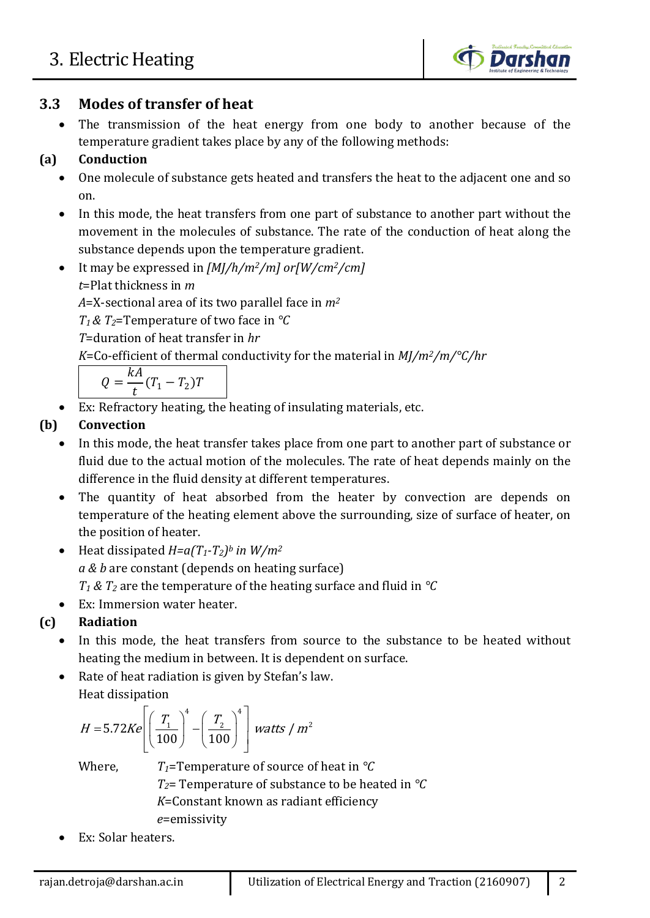

## **3.3 Modes of transfer of heat**

• The transmission of the heat energy from one body to another because of the temperature gradient takes place by any of the following methods:

## **(a) Conduction**

- One molecule of substance gets heated and transfers the heat to the adjacent one and so on.
- In this mode, the heat transfers from one part of substance to another part without the movement in the molecules of substance. The rate of the conduction of heat along the substance depends upon the temperature gradient.
- It may be expressed in *[MJ/h/m2/m] or[W/cm2/cm] t*=Plat thickness in *m*

*A*=X-sectional area of its two parallel face in *m2*

*T1 & T2*=Temperature of two face in *°C*

*T*=duration of heat transfer in *hr*

*K*=Co-efficient of thermal conductivity for the material in *MJ/m2/m/°C/hr*

$$
Q = \frac{kA}{t}(T_1 - T_2)T
$$

• Ex: Refractory heating, the heating of insulating materials, etc.

## **(b) Convection**

- In this mode, the heat transfer takes place from one part to another part of substance or fluid due to the actual motion of the molecules. The rate of heat depends mainly on the difference in the fluid density at different temperatures.
- The quantity of heat absorbed from the heater by convection are depends on temperature of the heating element above the surrounding, size of surface of heater, on the position of heater.
- Heat dissipated  $H=a(T_1-T_2)^b$  *in W/m<sup>2</sup> a & b* are constant (depends on heating surface) *T1 & T2* are the temperature of the heating surface and fluid in *°C*
- Ex: Immersion water heater.

## **(c) Radiation**

- In this mode, the heat transfers from source to the substance to be heated without heating the medium in between. It is dependent on surface.
- Rate of heat radiation is given by Stefan's law. Heat dissipation

$$
H = 5.72Ke \left[ \left( \frac{T_1}{100} \right)^4 - \left( \frac{T_2}{100} \right)^4 \right] watts / m^2
$$

Where, *T1*=Temperature of source of heat in *°C T2*= Temperature of substance to be heated in *°C*

*K*=Constant known as radiant efficiency

- *e*=emissivity
- Ex: Solar heaters.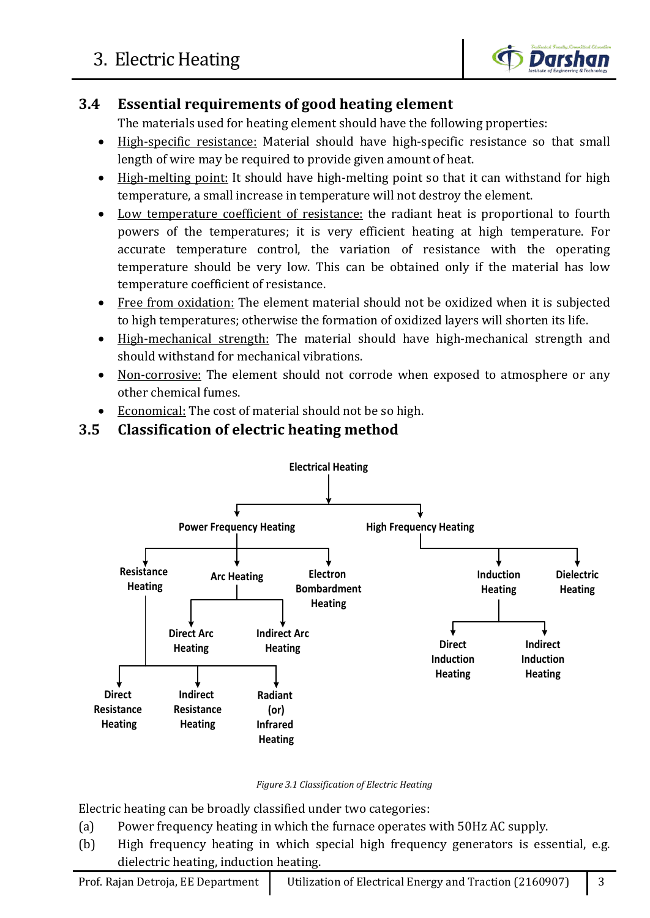

## **3.4 Essential requirements of good heating element**

The materials used for heating element should have the following properties:

- High-specific resistance: Material should have high-specific resistance so that small length of wire may be required to provide given amount of heat.
- High-melting point: It should have high-melting point so that it can withstand for high temperature, a small increase in temperature will not destroy the element.
- Low temperature coefficient of resistance: the radiant heat is proportional to fourth powers of the temperatures; it is very efficient heating at high temperature. For accurate temperature control, the variation of resistance with the operating temperature should be very low. This can be obtained only if the material has low temperature coefficient of resistance.
- Free from oxidation: The element material should not be oxidized when it is subjected to high temperatures; otherwise the formation of oxidized layers will shorten its life.
- High-mechanical strength: The material should have high-mechanical strength and should withstand for mechanical vibrations.
- Non-corrosive: The element should not corrode when exposed to atmosphere or any other chemical fumes.
- Economical: The cost of material should not be so high.

## **3.5 Classification of electric heating method**



#### *Figure 3.1 Classification of Electric Heating*

Electric heating can be broadly classified under two categories:

- (a) Power frequency heating in which the furnace operates with 50Hz AC supply.
- (b) High frequency heating in which special high frequency generators is essential, e.g. dielectric heating, induction heating.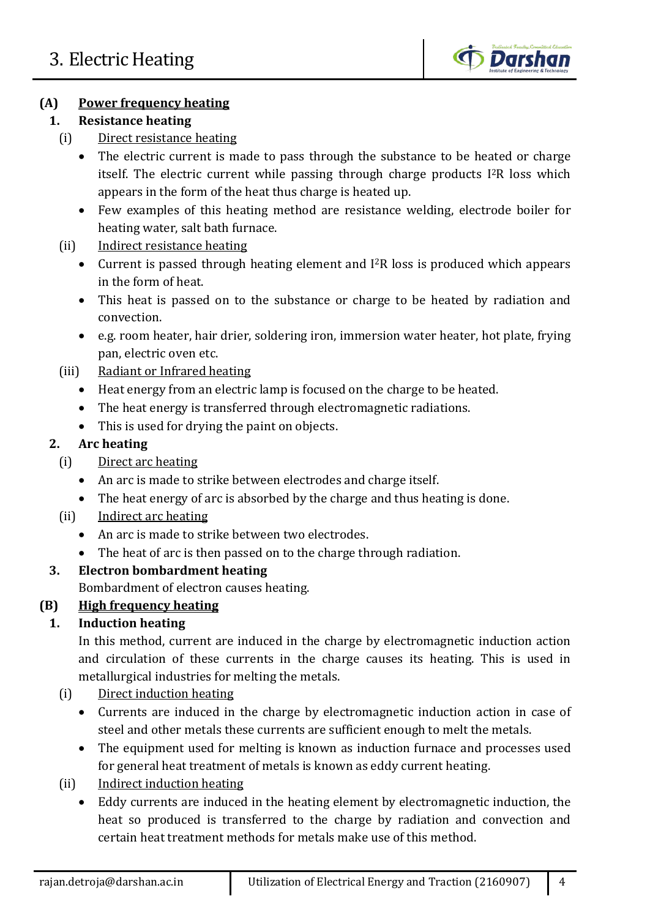

#### **(A) Power frequency heating**

#### **1. Resistance heating**

- (i) Direct resistance heating
	- The electric current is made to pass through the substance to be heated or charge itself. The electric current while passing through charge products I2R loss which appears in the form of the heat thus charge is heated up.
	- Few examples of this heating method are resistance welding, electrode boiler for heating water, salt bath furnace.
- (ii) Indirect resistance heating
	- Current is passed through heating element and I2R loss is produced which appears in the form of heat.
	- This heat is passed on to the substance or charge to be heated by radiation and convection.
	- e.g. room heater, hair drier, soldering iron, immersion water heater, hot plate, frying pan, electric oven etc.
- (iii) Radiant or Infrared heating
	- Heat energy from an electric lamp is focused on the charge to be heated.
	- The heat energy is transferred through electromagnetic radiations.
	- This is used for drying the paint on objects.

#### **2. Arc heating**

- (i) Direct arc heating
	- An arc is made to strike between electrodes and charge itself.
	- The heat energy of arc is absorbed by the charge and thus heating is done.
- (ii) Indirect arc heating
	- An arc is made to strike between two electrodes.
	- The heat of arc is then passed on to the charge through radiation.

#### **3. Electron bombardment heating**

Bombardment of electron causes heating.

## **(B) High frequency heating**

#### **1. Induction heating**

In this method, current are induced in the charge by electromagnetic induction action and circulation of these currents in the charge causes its heating. This is used in metallurgical industries for melting the metals.

- (i) Direct induction heating
	- Currents are induced in the charge by electromagnetic induction action in case of steel and other metals these currents are sufficient enough to melt the metals.
	- The equipment used for melting is known as induction furnace and processes used for general heat treatment of metals is known as eddy current heating.
- (ii) Indirect induction heating
	- Eddy currents are induced in the heating element by electromagnetic induction, the heat so produced is transferred to the charge by radiation and convection and certain heat treatment methods for metals make use of this method.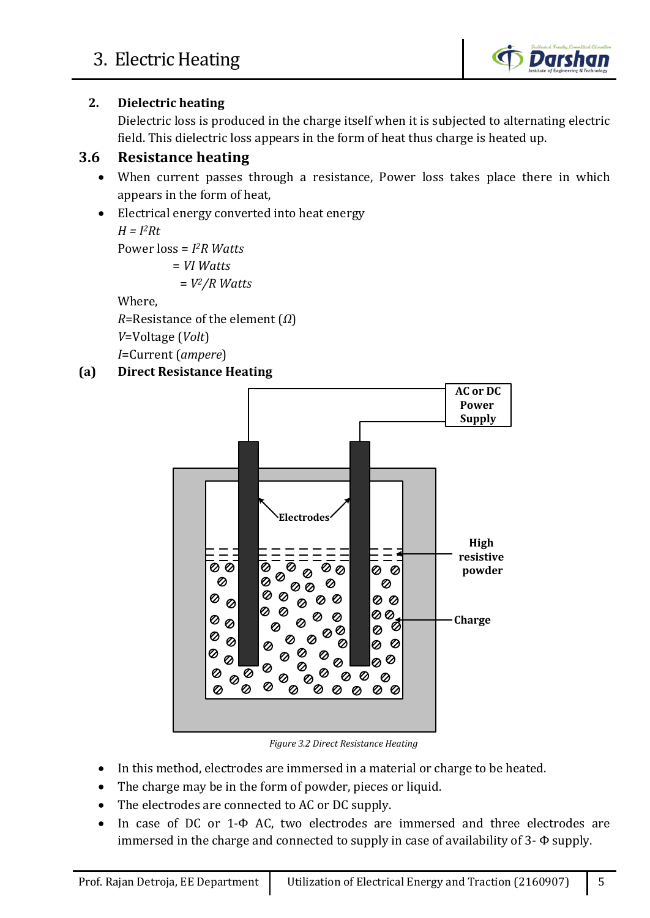

### **2. Dielectric heating**

Dielectric loss is produced in the charge itself when it is subjected to alternating electric field. This dielectric loss appears in the form of heat thus charge is heated up.

## **3.6 Resistance heating**

- When current passes through a resistance, Power loss takes place there in which appears in the form of heat,
- Electrical energy converted into heat energy *H = I2Rt* Power loss = *I2R Watts*

 = *VI Watts* = *V2/R Watts*

Where,

*R*=Resistance of the element (*Ω*) *V*=Voltage (*Volt*) *I*=Current (*ampere*)

## **(a) Direct Resistance Heating**



*Figure 3.2 Direct Resistance Heating*

- In this method, electrodes are immersed in a material or charge to be heated.
- The charge may be in the form of powder, pieces or liquid.
- The electrodes are connected to AC or DC supply.
- In case of DC or 1-Φ AC, two electrodes are immersed and three electrodes are immersed in the charge and connected to supply in case of availability of 3- Φ supply.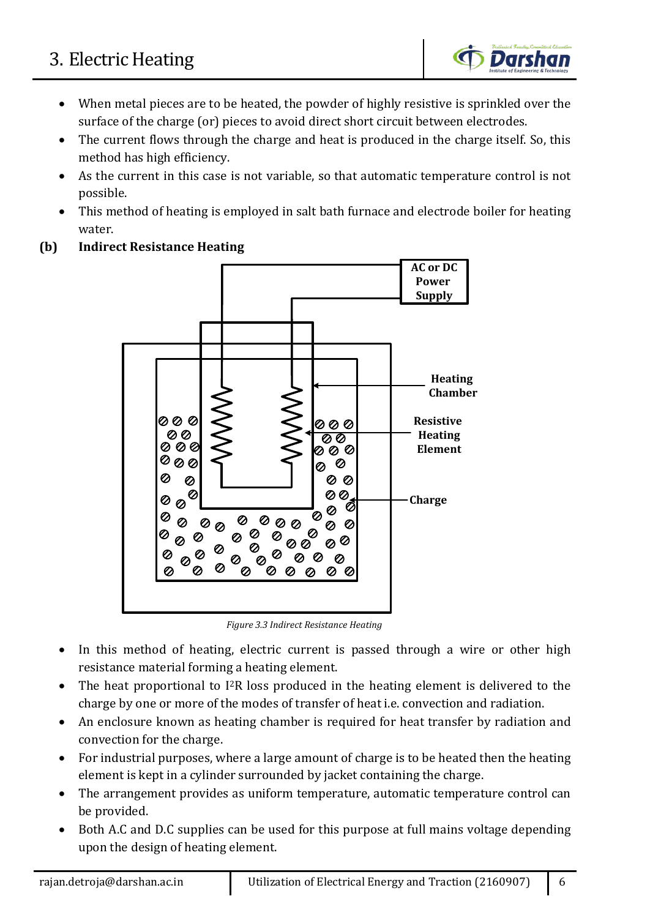

- When metal pieces are to be heated, the powder of highly resistive is sprinkled over the surface of the charge (or) pieces to avoid direct short circuit between electrodes.
- The current flows through the charge and heat is produced in the charge itself. So, this method has high efficiency.
- As the current in this case is not variable, so that automatic temperature control is not possible.
- This method of heating is employed in salt bath furnace and electrode boiler for heating water.
- **(b) Indirect Resistance Heating**



*Figure 3.3 Indirect Resistance Heating*

- In this method of heating, electric current is passed through a wire or other high resistance material forming a heating element.
- The heat proportional to I<sup>2</sup>R loss produced in the heating element is delivered to the charge by one or more of the modes of transfer of heat i.e. convection and radiation.
- An enclosure known as heating chamber is required for heat transfer by radiation and convection for the charge.
- For industrial purposes, where a large amount of charge is to be heated then the heating element is kept in a cylinder surrounded by jacket containing the charge.
- The arrangement provides as uniform temperature, automatic temperature control can be provided.
- Both A.C and D.C supplies can be used for this purpose at full mains voltage depending upon the design of heating element.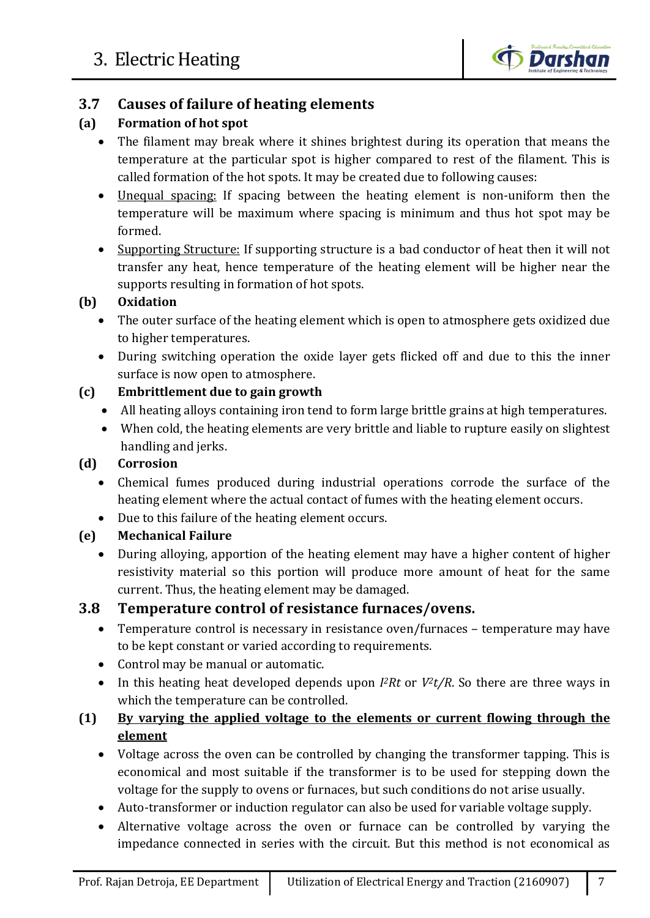

## **3.7 Causes of failure of heating elements**

### **(a) Formation of hot spot**

- The filament may break where it shines brightest during its operation that means the temperature at the particular spot is higher compared to rest of the filament. This is called formation of the hot spots. It may be created due to following causes:
- Unequal spacing: If spacing between the heating element is non-uniform then the temperature will be maximum where spacing is minimum and thus hot spot may be formed.
- Supporting Structure: If supporting structure is a bad conductor of heat then it will not transfer any heat, hence temperature of the heating element will be higher near the supports resulting in formation of hot spots.

#### **(b) Oxidation**

- The outer surface of the heating element which is open to atmosphere gets oxidized due to higher temperatures.
- During switching operation the oxide layer gets flicked off and due to this the inner surface is now open to atmosphere.

#### **(c) Embrittlement due to gain growth**

- All heating alloys containing iron tend to form large brittle grains at high temperatures.
- When cold, the heating elements are very brittle and liable to rupture easily on slightest handling and jerks.

#### **(d) Corrosion**

- Chemical fumes produced during industrial operations corrode the surface of the heating element where the actual contact of fumes with the heating element occurs.
- Due to this failure of the heating element occurs.

#### **(e) Mechanical Failure**

• During alloying, apportion of the heating element may have a higher content of higher resistivity material so this portion will produce more amount of heat for the same current. Thus, the heating element may be damaged.

## **3.8 Temperature control of resistance furnaces/ovens.**

- Temperature control is necessary in resistance oven/furnaces temperature may have to be kept constant or varied according to requirements.
- Control may be manual or automatic.
- In this heating heat developed depends upon *I2Rt* or *V2t/R*. So there are three ways in which the temperature can be controlled.

### **(1) By varying the applied voltage to the elements or current flowing through the element**

- Voltage across the oven can be controlled by changing the transformer tapping. This is economical and most suitable if the transformer is to be used for stepping down the voltage for the supply to ovens or furnaces, but such conditions do not arise usually.
- Auto-transformer or induction regulator can also be used for variable voltage supply.
- Alternative voltage across the oven or furnace can be controlled by varying the impedance connected in series with the circuit. But this method is not economical as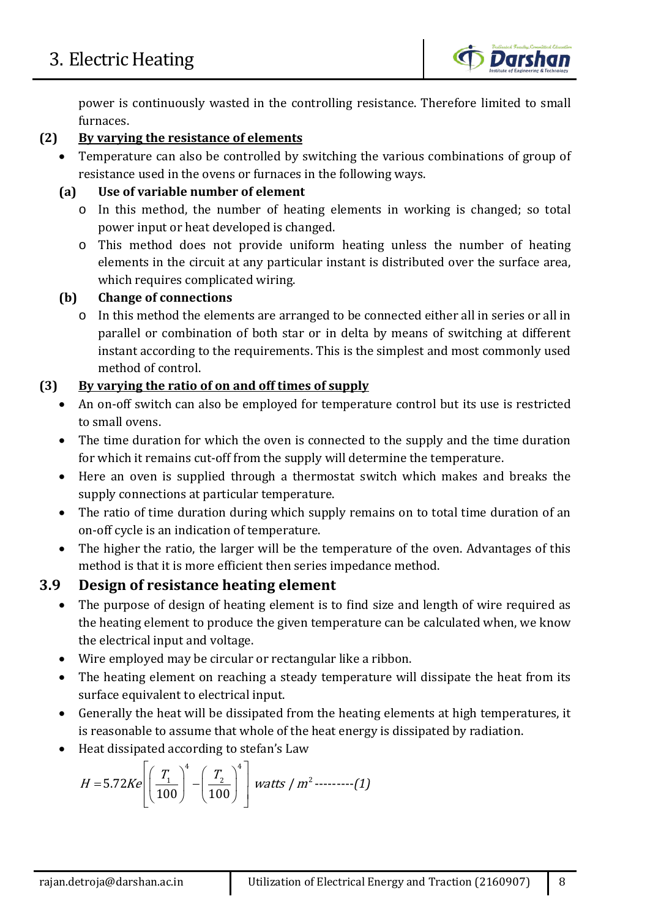

power is continuously wasted in the controlling resistance. Therefore limited to small furnaces.

#### **(2) By varying the resistance of elements**

• Temperature can also be controlled by switching the various combinations of group of resistance used in the ovens or furnaces in the following ways.

#### **(a) Use of variable number of element**

- o In this method, the number of heating elements in working is changed; so total power input or heat developed is changed.
- o This method does not provide uniform heating unless the number of heating elements in the circuit at any particular instant is distributed over the surface area, which requires complicated wiring.

#### **(b) Change of connections**

o In this method the elements are arranged to be connected either all in series or all in parallel or combination of both star or in delta by means of switching at different instant according to the requirements. This is the simplest and most commonly used method of control.

#### **(3) By varying the ratio of on and off times of supply**

- An on-off switch can also be employed for temperature control but its use is restricted to small ovens.
- The time duration for which the oven is connected to the supply and the time duration for which it remains cut-off from the supply will determine the temperature.
- Here an oven is supplied through a thermostat switch which makes and breaks the supply connections at particular temperature.
- The ratio of time duration during which supply remains on to total time duration of an on-off cycle is an indication of temperature.
- The higher the ratio, the larger will be the temperature of the oven. Advantages of this method is that it is more efficient then series impedance method.

## **3.9 Design of resistance heating element**

- The purpose of design of heating element is to find size and length of wire required as the heating element to produce the given temperature can be calculated when, we know the electrical input and voltage.
- Wire employed may be circular or rectangular like a ribbon.
- The heating element on reaching a steady temperature will dissipate the heat from its surface equivalent to electrical input.
- Generally the heat will be dissipated from the heating elements at high temperatures, it is reasonable to assume that whole of the heat energy is dissipated by radiation.
- Heat dissipated according to stefan's Law

$$
H = 5.72Ke \left[ \left( \frac{T_1}{100} \right)^4 - \left( \frac{T_2}{100} \right)^4 \right] watts / m^2 \dots (1)
$$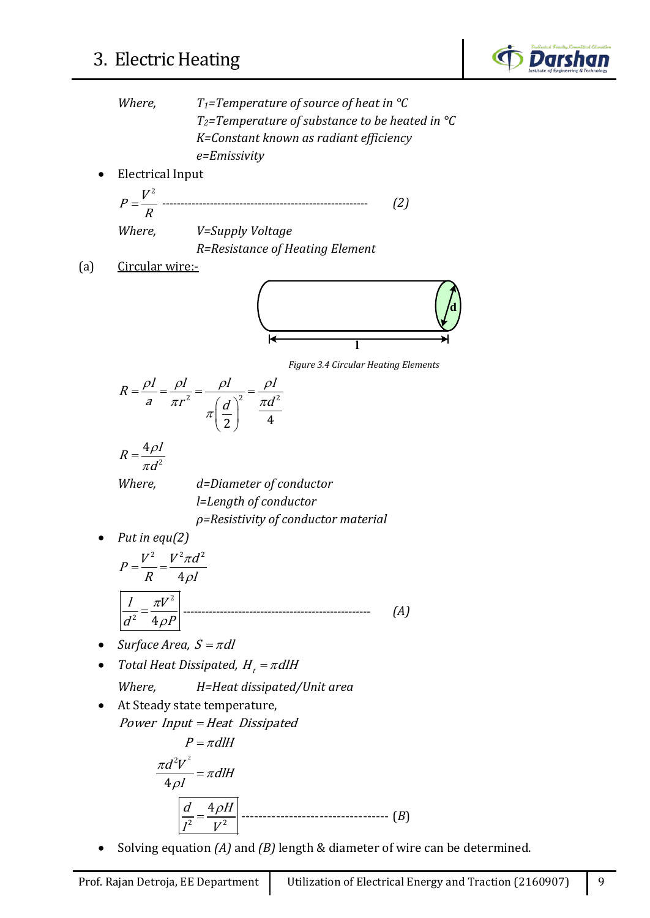



• Electrical Input

$$
P = \frac{V^2}{R}
$$
  $(2)$   
Where,  $V =$ Supply Voltage

*R=Resistance of Heating Element*

(a) Circular wire:-



*Figure 3.4 Circular Heating Elements*

$$
R = \frac{\rho l}{a} = \frac{\rho l}{\pi r^2} = \frac{\rho l}{\pi \left(\frac{d}{2}\right)^2} = \frac{\rho l}{\pi d^2}
$$

$$
R = \frac{4\rho l}{\pi d^2}
$$

*Where, d=Diameter of conductor l=Length of conductor ρ=Resistivity of conductor material*

• *Put in equ(2)*

$$
P = \frac{V^2}{R} = \frac{V^2 \pi d^2}{4\rho I}
$$
  

$$
\frac{I}{d^2} = \frac{\pi V^2}{4\rho P}
$$
 (A)

- *Surface Area,*  $S = \pi dl$
- *Total Heat Dissipated,*  $H_t = \pi dH$

*Where, H=Heat dissipated/Unit area*

• At Steady state temperature, Power Input = Heat Dissipated

$$
P = \pi dH
$$
  

$$
\frac{\pi d^2 V^2}{4\rho I} = \pi dH
$$
  

$$
\frac{d}{I^2} = \frac{4\rho H}{V^2}
$$
................. (B)

• Solving equation *(A)* and *(B)* length & diameter of wire can be determined.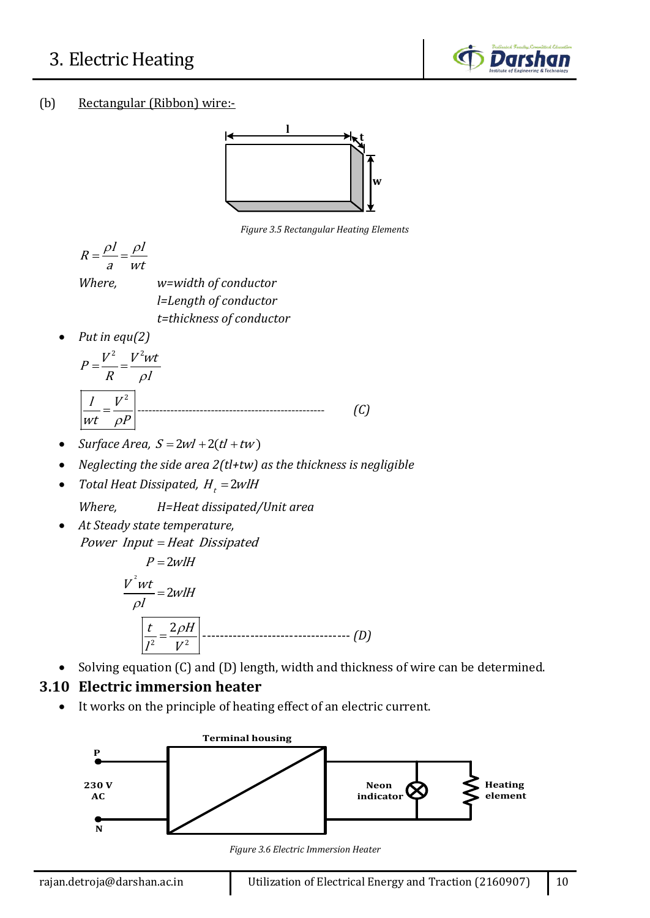#### (b) Rectangular (Ribbon) wire:-



*Figure 3.5 Rectangular Heating Elements*

$$
R = \frac{\rho l}{a} = \frac{\rho l}{wt}
$$

*Where, w=width of conductor l=Length of conductor t=thickness of conductor* 

• *Put in equ(2)*

$$
P = \frac{V^2}{R} = \frac{V^2wt}{\rho I}
$$
  

$$
\frac{I}{wt} = \frac{V^2}{\rho P}
$$
 (C)

- *Surface Area,*  $S = 2wl + 2(tl + tw)$
- *Neglecting the side area 2(tl+tw) as the thickness is negligible*
- *Total Heat Dissipated,*  $H<sub>r</sub> = 2wH$ *Where, H=Heat dissipated/Unit area*
- *At Steady state temperature,* Power Input = Heat Dissipated

$$
P = 2wIH
$$
  
\n
$$
\frac{V^2wt}{\rho I} = 2wIH
$$
  
\n
$$
\frac{t}{I^2} = \frac{2\rho H}{V^2}
$$
................. (D)

• Solving equation (C) and (D) length, width and thickness of wire can be determined.

## **3.10 Electric immersion heater**

• It works on the principle of heating effect of an electric current.



*Figure 3.6 Electric Immersion Heater*

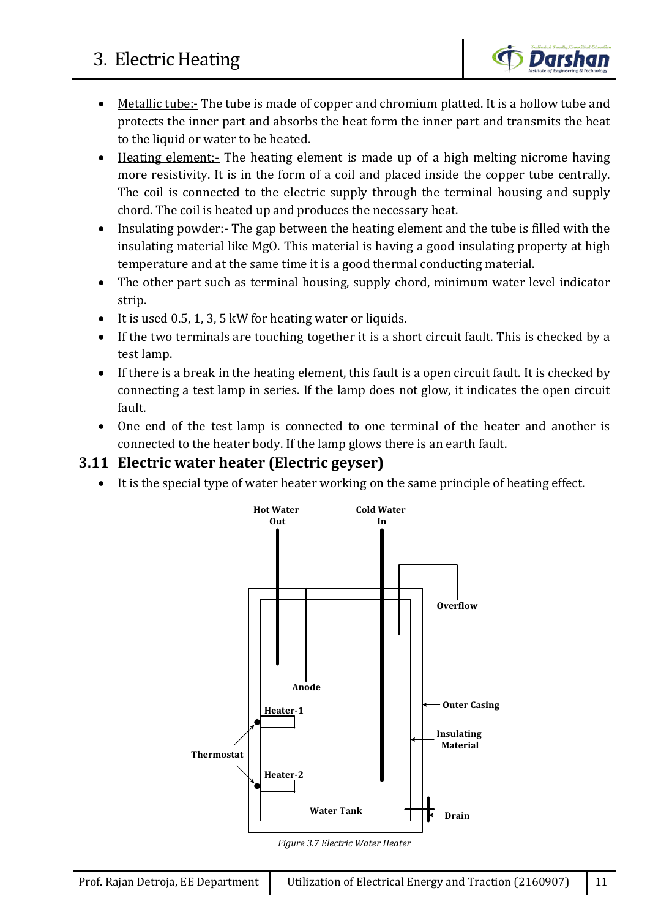

- Metallic tube:- The tube is made of copper and chromium platted. It is a hollow tube and protects the inner part and absorbs the heat form the inner part and transmits the heat to the liquid or water to be heated.
- Heating element:- The heating element is made up of a high melting nicrome having more resistivity. It is in the form of a coil and placed inside the copper tube centrally. The coil is connected to the electric supply through the terminal housing and supply chord. The coil is heated up and produces the necessary heat.
- Insulating powder:- The gap between the heating element and the tube is filled with the insulating material like MgO. This material is having a good insulating property at high temperature and at the same time it is a good thermal conducting material.
- The other part such as terminal housing, supply chord, minimum water level indicator strip.
- It is used 0.5, 1, 3, 5 kW for heating water or liquids.
- If the two terminals are touching together it is a short circuit fault. This is checked by a test lamp.
- If there is a break in the heating element, this fault is a open circuit fault. It is checked by connecting a test lamp in series. If the lamp does not glow, it indicates the open circuit fault.
- One end of the test lamp is connected to one terminal of the heater and another is connected to the heater body. If the lamp glows there is an earth fault.

### **3.11 Electric water heater (Electric geyser)**

• It is the special type of water heater working on the same principle of heating effect.



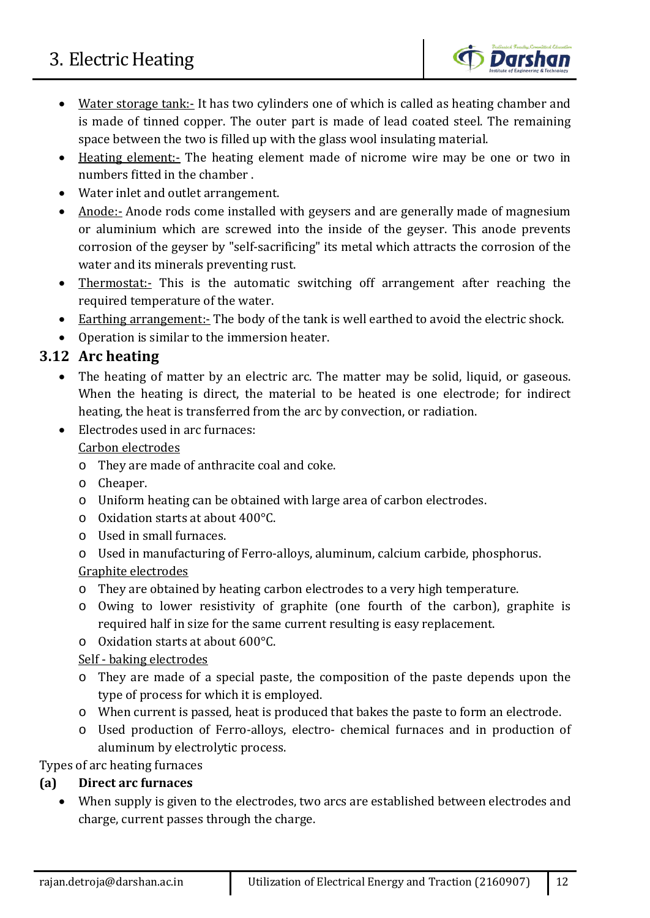- **Darshan**
- Water storage tank:- It has two cylinders one of which is called as heating chamber and is made of tinned copper. The outer part is made of lead coated steel. The remaining space between the two is filled up with the glass wool insulating material.
- Heating element:- The heating element made of nicrome wire may be one or two in numbers fitted in the chamber .
- Water inlet and outlet arrangement.
- Anode:- Anode rods come installed with geysers and are generally made of magnesium or aluminium which are screwed into the inside of the geyser. This anode prevents corrosion of the geyser by "self-sacrificing" its metal which attracts the corrosion of the water and its minerals preventing rust.
- Thermostat:- This is the automatic switching off arrangement after reaching the required temperature of the water.
- Earthing arrangement:- The body of the tank is well earthed to avoid the electric shock.
- Operation is similar to the immersion heater.

## **3.12 Arc heating**

- The heating of matter by an electric arc. The matter may be solid, liquid, or gaseous. When the heating is direct, the material to be heated is one electrode; for indirect heating, the heat is transferred from the arc by convection, or radiation.
- Electrodes used in arc furnaces:

### Carbon electrodes

- o They are made of anthracite coal and coke.
- o Cheaper.
- o Uniform heating can be obtained with large area of carbon electrodes.
- o Oxidation starts at about 400°C.
- o Used in small furnaces.
- o Used in manufacturing of Ferro-alloys, aluminum, calcium carbide, phosphorus.

#### Graphite electrodes

- o They are obtained by heating carbon electrodes to a very high temperature.
- o Owing to lower resistivity of graphite (one fourth of the carbon), graphite is required half in size for the same current resulting is easy replacement.
- o Oxidation starts at about 600°C.

## Self - baking electrodes

- o They are made of a special paste, the composition of the paste depends upon the type of process for which it is employed.
- o When current is passed, heat is produced that bakes the paste to form an electrode.
- o Used production of Ferro-alloys, electro- chemical furnaces and in production of aluminum by electrolytic process.

Types of arc heating furnaces

## **(a) Direct arc furnaces**

• When supply is given to the electrodes, two arcs are established between electrodes and charge, current passes through the charge.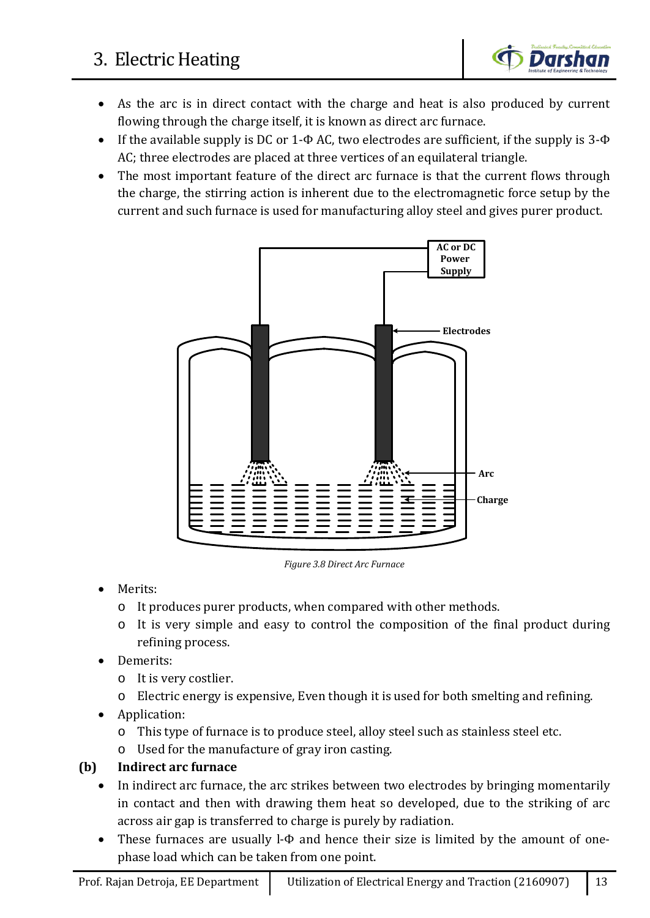

- As the arc is in direct contact with the charge and heat is also produced by current flowing through the charge itself, it is known as direct arc furnace.
- If the available supply is DC or 1-Φ AC, two electrodes are sufficient, if the supply is 3-Φ AC; three electrodes are placed at three vertices of an equilateral triangle.
- The most important feature of the direct arc furnace is that the current flows through the charge, the stirring action is inherent due to the electromagnetic force setup by the current and such furnace is used for manufacturing alloy steel and gives purer product.



*Figure 3.8 Direct Arc Furnace*

- Merits:
	- o It produces purer products, when compared with other methods.
	- o It is very simple and easy to control the composition of the final product during refining process.
- Demerits:
	- o It is very costlier.
	- o Electric energy is expensive, Even though it is used for both smelting and refining.
- Application:
	- o This type of furnace is to produce steel, alloy steel such as stainless steel etc.
	- o Used for the manufacture of gray iron casting.

#### **(b) Indirect arc furnace**

- In indirect arc furnace, the arc strikes between two electrodes by bringing momentarily in contact and then with drawing them heat so developed, due to the striking of arc across air gap is transferred to charge is purely by radiation.
- These furnaces are usually l-Φ and hence their size is limited by the amount of onephase load which can be taken from one point.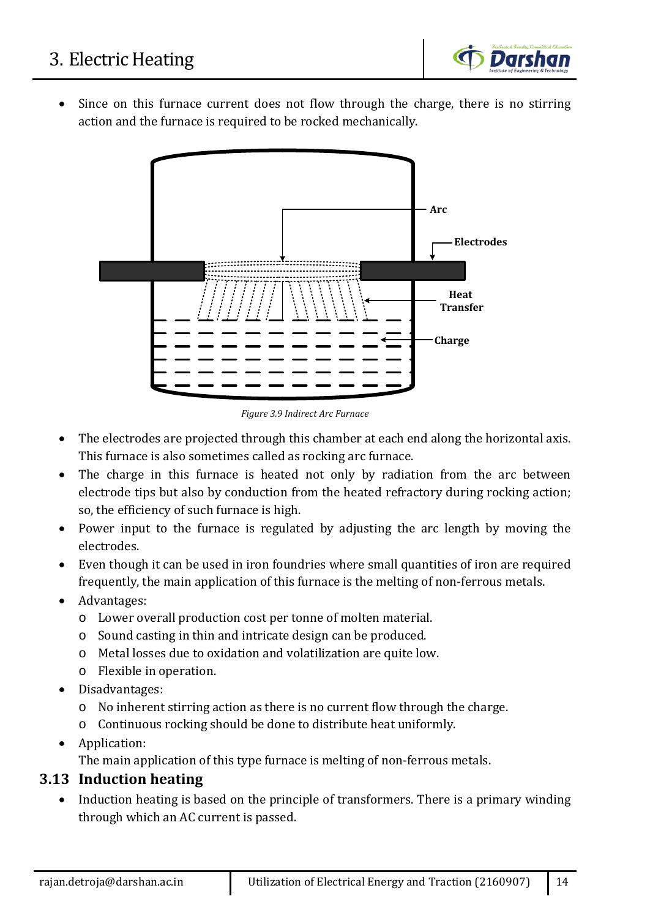

• Since on this furnace current does not flow through the charge, there is no stirring action and the furnace is required to be rocked mechanically.



*Figure 3.9 Indirect Arc Furnace*

- The electrodes are projected through this chamber at each end along the horizontal axis. This furnace is also sometimes called as rocking arc furnace.
- The charge in this furnace is heated not only by radiation from the arc between electrode tips but also by conduction from the heated refractory during rocking action; so, the efficiency of such furnace is high.
- Power input to the furnace is regulated by adjusting the arc length by moving the electrodes.
- Even though it can be used in iron foundries where small quantities of iron are required frequently, the main application of this furnace is the melting of non-ferrous metals.
- Advantages:
	- o Lower overall production cost per tonne of molten material.
	- o Sound casting in thin and intricate design can be produced.
	- o Metal losses due to oxidation and volatilization are quite low.
	- o Flexible in operation.
- Disadvantages:
	- o No inherent stirring action as there is no current flow through the charge.
	- o Continuous rocking should be done to distribute heat uniformly.
- Application:

The main application of this type furnace is melting of non-ferrous metals.

## **3.13 Induction heating**

• Induction heating is based on the principle of transformers. There is a primary winding through which an AC current is passed.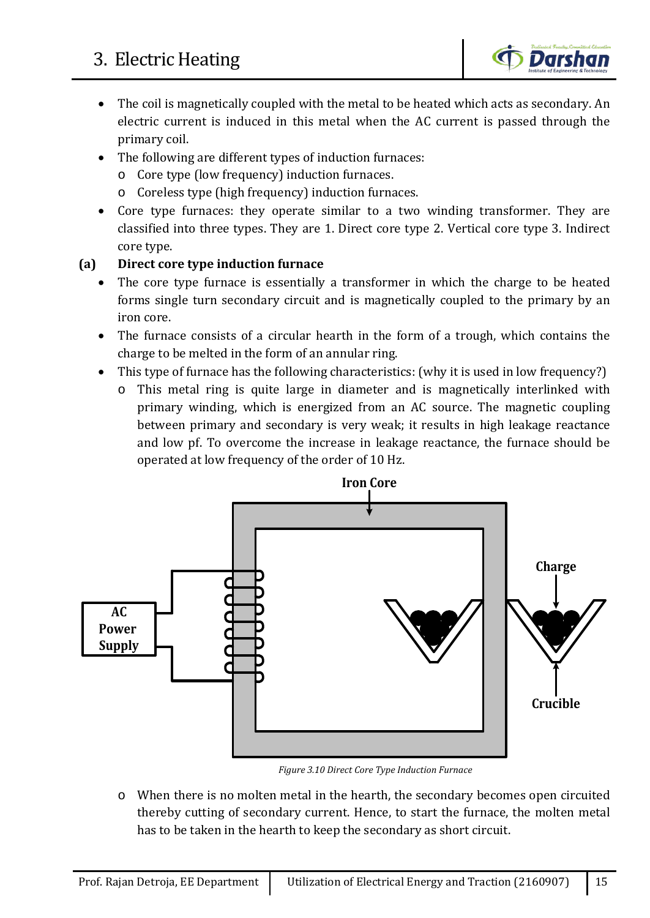

- The coil is magnetically coupled with the metal to be heated which acts as secondary. An electric current is induced in this metal when the AC current is passed through the primary coil.
- The following are different types of induction furnaces:
	- o Core type (low frequency) induction furnaces.
	- o Coreless type (high frequency) induction furnaces.
- Core type furnaces: they operate similar to a two winding transformer. They are classified into three types. They are 1. Direct core type 2. Vertical core type 3. Indirect core type.

#### **(a) Direct core type induction furnace**

- The core type furnace is essentially a transformer in which the charge to be heated forms single turn secondary circuit and is magnetically coupled to the primary by an iron core.
- The furnace consists of a circular hearth in the form of a trough, which contains the charge to be melted in the form of an annular ring.
- This type of furnace has the following characteristics: (why it is used in low frequency?)
	- o This metal ring is quite large in diameter and is magnetically interlinked with primary winding, which is energized from an AC source. The magnetic coupling between primary and secondary is very weak; it results in high leakage reactance and low pf. To overcome the increase in leakage reactance, the furnace should be operated at low frequency of the order of 10 Hz.



*Figure 3.10 Direct Core Type Induction Furnace*

o When there is no molten metal in the hearth, the secondary becomes open circuited thereby cutting of secondary current. Hence, to start the furnace, the molten metal has to be taken in the hearth to keep the secondary as short circuit.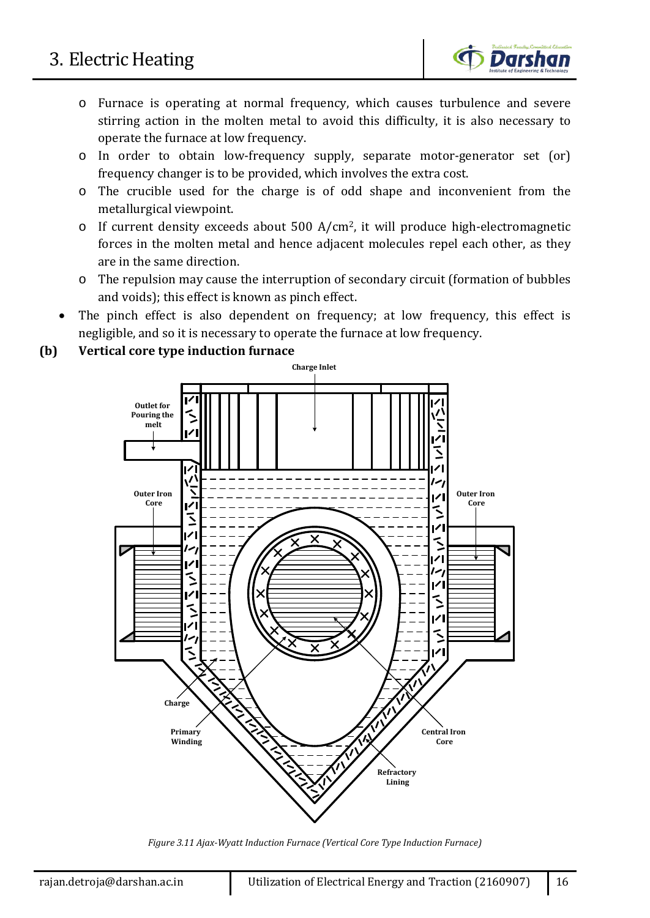

- o Furnace is operating at normal frequency, which causes turbulence and severe stirring action in the molten metal to avoid this difficulty, it is also necessary to operate the furnace at low frequency.
- o In order to obtain low-frequency supply, separate motor-generator set (or) frequency changer is to be provided, which involves the extra cost.
- o The crucible used for the charge is of odd shape and inconvenient from the metallurgical viewpoint.
- o If current density exceeds about 500 A/cm2, it will produce high-electromagnetic forces in the molten metal and hence adjacent molecules repel each other, as they are in the same direction.
- o The repulsion may cause the interruption of secondary circuit (formation of bubbles and voids); this effect is known as pinch effect.
- The pinch effect is also dependent on frequency; at low frequency, this effect is negligible, and so it is necessary to operate the furnace at low frequency.





*Figure 3.11 Ajax-Wyatt Induction Furnace (Vertical Core Type Induction Furnace)*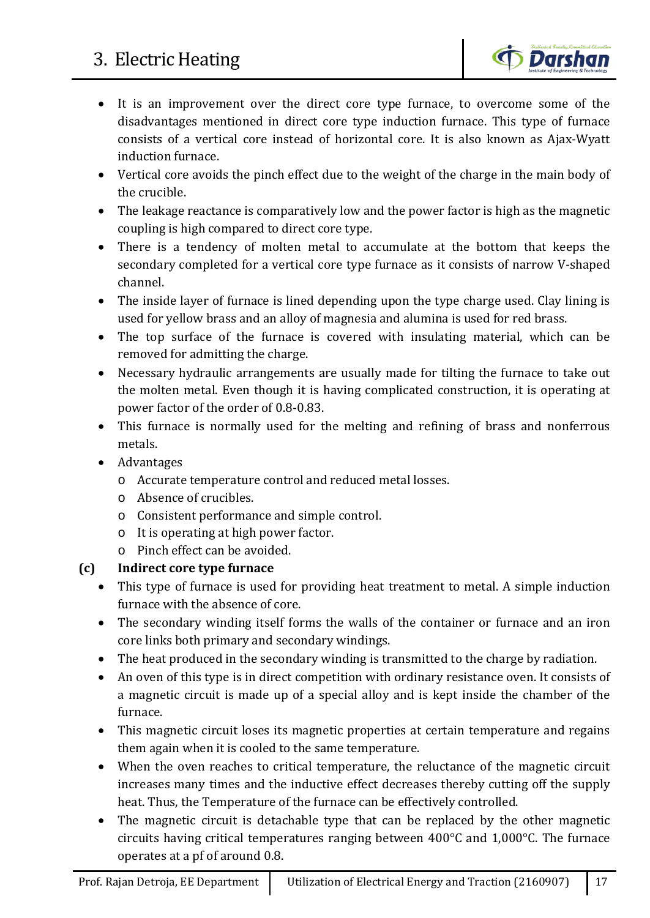

- It is an improvement over the direct core type furnace, to overcome some of the disadvantages mentioned in direct core type induction furnace. This type of furnace consists of a vertical core instead of horizontal core. It is also known as Ajax-Wyatt induction furnace.
- Vertical core avoids the pinch effect due to the weight of the charge in the main body of the crucible.
- The leakage reactance is comparatively low and the power factor is high as the magnetic coupling is high compared to direct core type.
- There is a tendency of molten metal to accumulate at the bottom that keeps the secondary completed for a vertical core type furnace as it consists of narrow V-shaped channel.
- The inside layer of furnace is lined depending upon the type charge used. Clay lining is used for yellow brass and an alloy of magnesia and alumina is used for red brass.
- The top surface of the furnace is covered with insulating material, which can be removed for admitting the charge.
- Necessary hydraulic arrangements are usually made for tilting the furnace to take out the molten metal. Even though it is having complicated construction, it is operating at power factor of the order of 0.8-0.83.
- This furnace is normally used for the melting and refining of brass and nonferrous metals.
- Advantages
	- o Accurate temperature control and reduced metal losses.
	- o Absence of crucibles.
	- o Consistent performance and simple control.
	- o It is operating at high power factor.
	- o Pinch effect can be avoided.

## **(c) Indirect core type furnace**

- This type of furnace is used for providing heat treatment to metal. A simple induction furnace with the absence of core.
- The secondary winding itself forms the walls of the container or furnace and an iron core links both primary and secondary windings.
- The heat produced in the secondary winding is transmitted to the charge by radiation.
- An oven of this type is in direct competition with ordinary resistance oven. It consists of a magnetic circuit is made up of a special alloy and is kept inside the chamber of the furnace.
- This magnetic circuit loses its magnetic properties at certain temperature and regains them again when it is cooled to the same temperature.
- When the oven reaches to critical temperature, the reluctance of the magnetic circuit increases many times and the inductive effect decreases thereby cutting off the supply heat. Thus, the Temperature of the furnace can be effectively controlled.
- The magnetic circuit is detachable type that can be replaced by the other magnetic circuits having critical temperatures ranging between 400°C and 1,000°C. The furnace operates at a pf of around 0.8.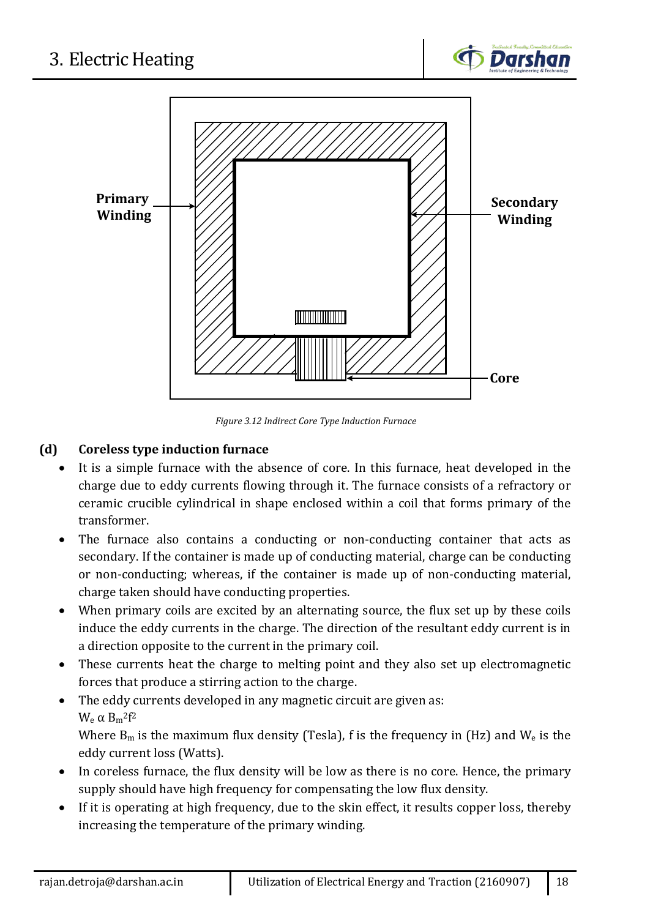



*Figure 3.12 Indirect Core Type Induction Furnace*

#### **(d) Coreless type induction furnace**

- It is a simple furnace with the absence of core. In this furnace, heat developed in the charge due to eddy currents flowing through it. The furnace consists of a refractory or ceramic crucible cylindrical in shape enclosed within a coil that forms primary of the transformer.
- The furnace also contains a conducting or non-conducting container that acts as secondary. If the container is made up of conducting material, charge can be conducting or non-conducting; whereas, if the container is made up of non-conducting material, charge taken should have conducting properties.
- When primary coils are excited by an alternating source, the flux set up by these coils induce the eddy currents in the charge. The direction of the resultant eddy current is in a direction opposite to the current in the primary coil.
- These currents heat the charge to melting point and they also set up electromagnetic forces that produce a stirring action to the charge.
- The eddy currents developed in any magnetic circuit are given as: W<sub>e</sub> α B<sub>m</sub><sup>2</sup>f<sup>2</sup>

Where  $B_m$  is the maximum flux density (Tesla), f is the frequency in (Hz) and  $W_e$  is the eddy current loss (Watts).

- In coreless furnace, the flux density will be low as there is no core. Hence, the primary supply should have high frequency for compensating the low flux density.
- If it is operating at high frequency, due to the skin effect, it results copper loss, thereby increasing the temperature of the primary winding.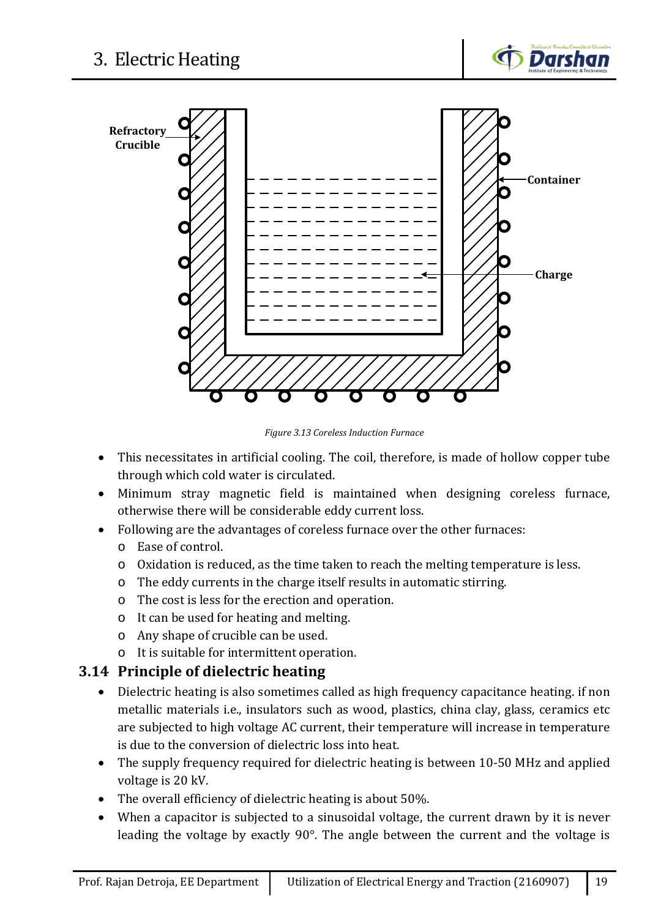

**Darshan** 

*Figure 3.13 Coreless Induction Furnace*

- This necessitates in artificial cooling. The coil, therefore, is made of hollow copper tube through which cold water is circulated.
- Minimum stray magnetic field is maintained when designing coreless furnace, otherwise there will be considerable eddy current loss.
- Following are the advantages of coreless furnace over the other furnaces:
	- o Ease of control.
	- o Oxidation is reduced, as the time taken to reach the melting temperature is less.
	- o The eddy currents in the charge itself results in automatic stirring.
	- o The cost is less for the erection and operation.
	- o It can be used for heating and melting.
	- o Any shape of crucible can be used.
	- o It is suitable for intermittent operation.

## **3.14 Principle of dielectric heating**

- Dielectric heating is also sometimes called as high frequency capacitance heating. if non metallic materials i.e., insulators such as wood, plastics, china clay, glass, ceramics etc are subjected to high voltage AC current, their temperature will increase in temperature is due to the conversion of dielectric loss into heat.
- The supply frequency required for dielectric heating is between 10-50 MHz and applied voltage is 20 kV.
- The overall efficiency of dielectric heating is about 50%.
- When a capacitor is subjected to a sinusoidal voltage, the current drawn by it is never leading the voltage by exactly 90°. The angle between the current and the voltage is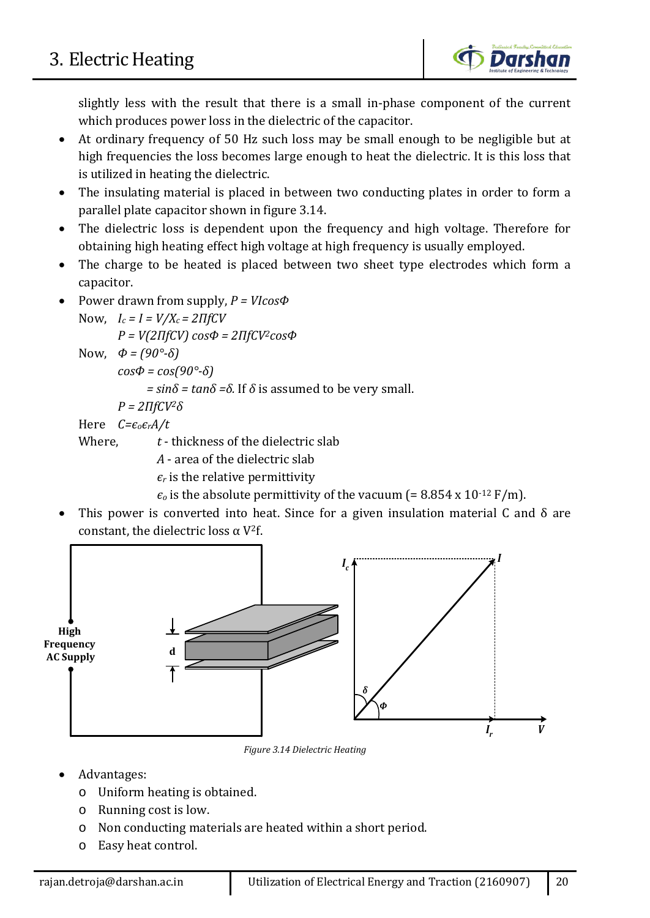

slightly less with the result that there is a small in-phase component of the current which produces power loss in the dielectric of the capacitor.

- At ordinary frequency of 50 Hz such loss may be small enough to be negligible but at high frequencies the loss becomes large enough to heat the dielectric. It is this loss that is utilized in heating the dielectric.
- The insulating material is placed in between two conducting plates in order to form a parallel plate capacitor shown in figure 3.14.
- The dielectric loss is dependent upon the frequency and high voltage. Therefore for obtaining high heating effect high voltage at high frequency is usually employed.
- The charge to be heated is placed between two sheet type electrodes which form a capacitor.
- Power drawn from supply, *P = VIcosΦ*

```
Now, Ic = I = V/Xc = 2ΠfCV
      P = V(2ΠfCV) cosΦ = 2ΠfCV2cosΦ
Now, Φ = (90°-δ)
      cosΦ = cos(90°-δ)
            = sinδ = tanδ =δ. If δ is assumed to be very small.
      P = 2ΠfCV2δ
Here C=єoєrA/t
Where, t - thickness of the dielectric slab
```
- *A* area of the dielectric slab
- $\epsilon_r$  is the relative permittivity
- $\epsilon$ <sup>*o*</sup> is the absolute permittivity of the vacuum (= 8.854 x 10<sup>-12</sup> F/m).
- This power is converted into heat. Since for a given insulation material C and  $\delta$  are constant, the dielectric loss  $\alpha$  V<sup>2</sup>f.



*Figure 3.14 Dielectric Heating* 

- Advantages:
	- o Uniform heating is obtained.
	- o Running cost is low.
	- o Non conducting materials are heated within a short period.
	- o Easy heat control.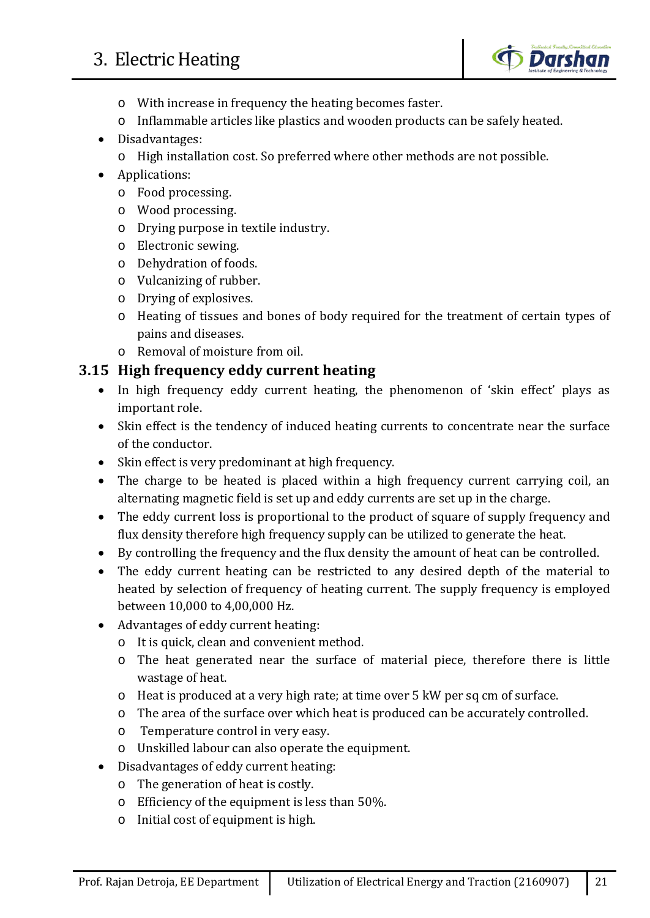

- o With increase in frequency the heating becomes faster.
- o Inflammable articles like plastics and wooden products can be safely heated.
- Disadvantages:
	- o High installation cost. So preferred where other methods are not possible.
- Applications:
	- o Food processing.
	- o Wood processing.
	- o Drying purpose in textile industry.
	- o Electronic sewing.
	- o Dehydration of foods.
	- o Vulcanizing of rubber.
	- o Drying of explosives.
	- o Heating of tissues and bones of body required for the treatment of certain types of pains and diseases.
	- o Removal of moisture from oil.

### **3.15 High frequency eddy current heating**

- In high frequency eddy current heating, the phenomenon of 'skin effect' plays as important role.
- Skin effect is the tendency of induced heating currents to concentrate near the surface of the conductor.
- Skin effect is very predominant at high frequency.
- The charge to be heated is placed within a high frequency current carrying coil, an alternating magnetic field is set up and eddy currents are set up in the charge.
- The eddy current loss is proportional to the product of square of supply frequency and flux density therefore high frequency supply can be utilized to generate the heat.
- By controlling the frequency and the flux density the amount of heat can be controlled.
- The eddy current heating can be restricted to any desired depth of the material to heated by selection of frequency of heating current. The supply frequency is employed between 10,000 to 4,00,000 Hz.
- Advantages of eddy current heating:
	- o It is quick, clean and convenient method.
	- o The heat generated near the surface of material piece, therefore there is little wastage of heat.
	- o Heat is produced at a very high rate; at time over 5 kW per sq cm of surface.
	- o The area of the surface over which heat is produced can be accurately controlled.
	- o Temperature control in very easy.
	- o Unskilled labour can also operate the equipment.
- Disadvantages of eddy current heating:
	- o The generation of heat is costly.
	- o Efficiency of the equipment is less than 50%.
	- o Initial cost of equipment is high.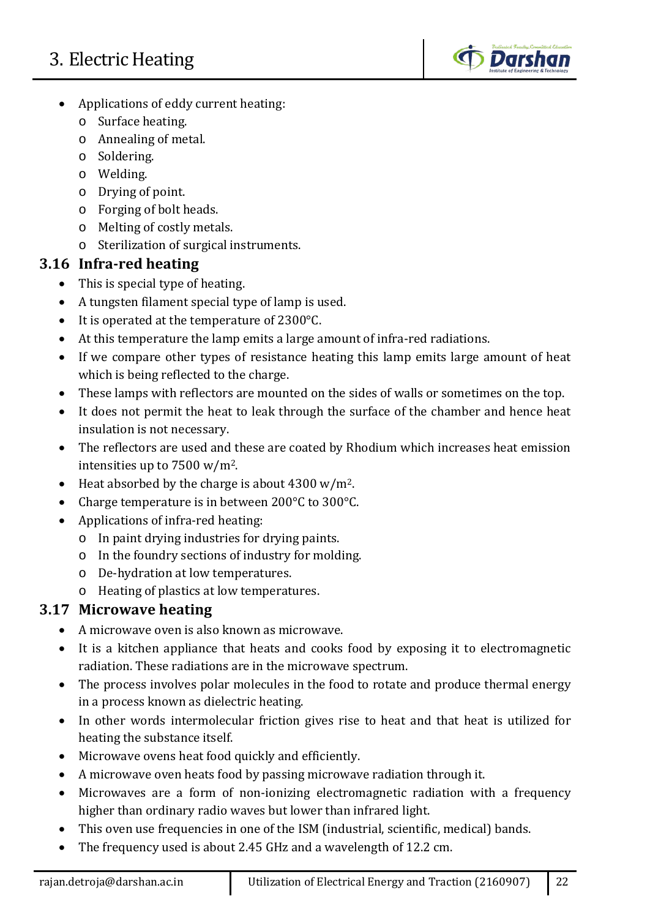

- Applications of eddy current heating:
	- o Surface heating.
	- o Annealing of metal.
	- o Soldering.
	- o Welding.
	- o Drying of point.
	- o Forging of bolt heads.
	- o Melting of costly metals.
	- o Sterilization of surgical instruments.

## **3.16 Infra-red heating**

- This is special type of heating.
- A tungsten filament special type of lamp is used.
- It is operated at the temperature of 2300°C.
- At this temperature the lamp emits a large amount of infra-red radiations.
- If we compare other types of resistance heating this lamp emits large amount of heat which is being reflected to the charge.
- These lamps with reflectors are mounted on the sides of walls or sometimes on the top.
- It does not permit the heat to leak through the surface of the chamber and hence heat insulation is not necessary.
- The reflectors are used and these are coated by Rhodium which increases heat emission intensities up to 7500 w/m2.
- Heat absorbed by the charge is about  $4300 \text{ w/m}^2$ .
- Charge temperature is in between 200°C to 300°C.
- Applications of infra-red heating:
	- o In paint drying industries for drying paints.
	- o In the foundry sections of industry for molding.
	- o De-hydration at low temperatures.
	- o Heating of plastics at low temperatures.

## **3.17 Microwave heating**

- A microwave oven is also known as microwave.
- It is a kitchen appliance that heats and cooks food by exposing it to electromagnetic radiation. These radiations are in the microwave spectrum.
- The process involves polar molecules in the food to rotate and produce thermal energy in a process known as dielectric heating.
- In other words intermolecular friction gives rise to heat and that heat is utilized for heating the substance itself.
- Microwave ovens heat food quickly and efficiently.
- A microwave oven heats food by passing microwave radiation through it.
- Microwaves are a form of non-ionizing electromagnetic radiation with a frequency higher than ordinary radio waves but lower than infrared light.
- This oven use frequencies in one of the ISM (industrial, scientific, medical) bands.
- The frequency used is about 2.45 GHz and a wavelength of 12.2 cm.